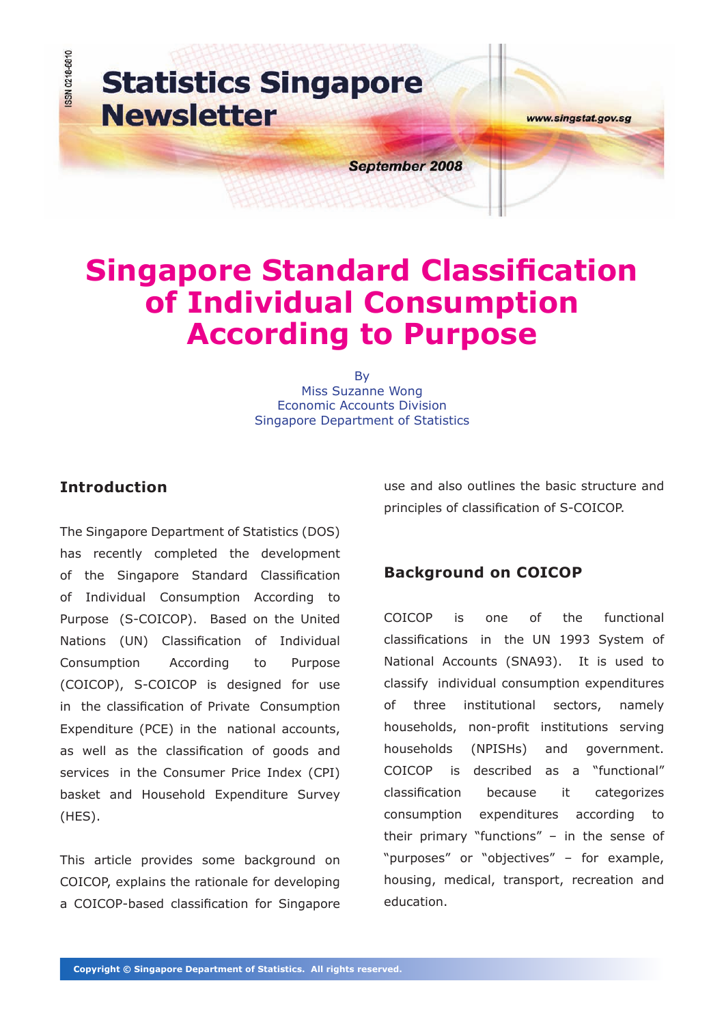

# **Singapore Standard Classification of Individual Consumption According to Purpose**

By Miss Suzanne Wong Economic Accounts Division Singapore Department of Statistics

# **Introduction**

The Singapore Department of Statistics (DOS) has recently completed the development of the Singapore Standard Classification of Individual Consumption According to Purpose (S-COICOP). Based on the United Nations (UN) Classification of Individual Consumption According to Purpose (COICOP), S-COICOP is designed for use in the classification of Private Consumption Expenditure (PCE) in the national accounts, as well as the classification of goods and services in the Consumer Price Index (CPI) basket and Household Expenditure Survey (HES).

This article provides some background on COICOP, explains the rationale for developing a COICOP-based classification for Singapore use and also outlines the basic structure and principles of classification of S-COICOP.

# **Background on COICOP**

COICOP is one of the functional classifications in the UN 1993 System of National Accounts (SNA93). It is used to classify individual consumption expenditures of three institutional sectors, namely households, non-profit institutions serving households (NPISHs) and government. COICOP is described as a "functional" classification because it categorizes consumption expenditures according to their primary "functions" – in the sense of "purposes" or "objectives" – for example, housing, medical, transport, recreation and education.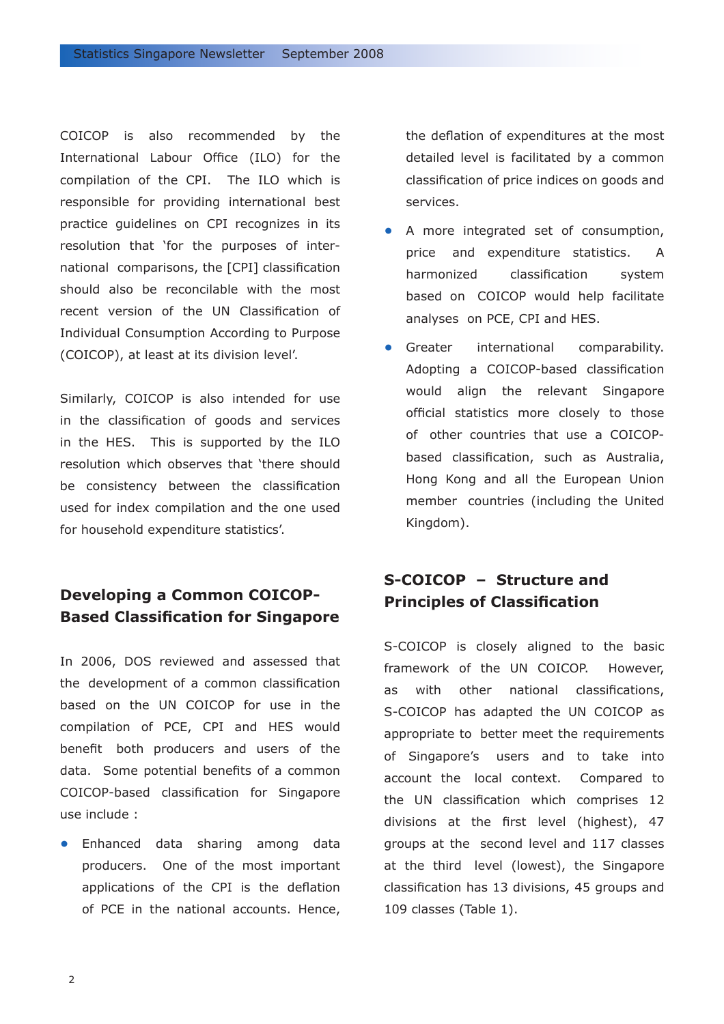COICOP is also recommended by the International Labour Office (ILO) for the compilation of the CPI. The ILO which is responsible for providing international best practice guidelines on CPI recognizes in its resolution that 'for the purposes of international comparisons, the [CPI] classification should also be reconcilable with the most recent version of the UN Classification of Individual Consumption According to Purpose (COICOP), at least at its division level'.

Similarly, COICOP is also intended for use in the classification of goods and services in the HES. This is supported by the ILO resolution which observes that 'there should be consistency between the classification used for index compilation and the one used for household expenditure statistics'.

# **Developing a Common COICOP-Based Classification for Singapore**

In 2006, DOS reviewed and assessed that the development of a common classification based on the UN COICOP for use in the compilation of PCE, CPI and HES would benefit both producers and users of the data. Some potential benefits of a common COICOP-based classification for Singapore use include :

Enhanced data sharing among data **•** producers. One of the most important applications of the CPI is the deflation of PCE in the national accounts. Hence,

the deflation of expenditures at the most detailed level is facilitated by a common classification of price indices on goods and services.

- A more integrated set of consumption, price and expenditure statistics. A harmonized classification system based on COICOP would help facilitate analyses on PCE, CPI and HES. **•**
- Greater international comparability. Adopting a COICOP-based classification would align the relevant Singapore official statistics more closely to those of other countries that use a COICOPbased classification, such as Australia, Hong Kong and all the European Union member countries (including the United Kingdom). **•**

# **S-COICOP – Structure and Principles of Classification**

S-COICOP is closely aligned to the basic framework of the UN COICOP. However, as with other national classifications, S-COICOP has adapted the UN COICOP as appropriate to better meet the requirements of Singapore's users and to take into account the local context. Compared to the UN classification which comprises 12 divisions at the first level (highest), 47 groups at the second level and 117 classes at the third level (lowest), the Singapore classification has 13 divisions, 45 groups and 109 classes (Table 1).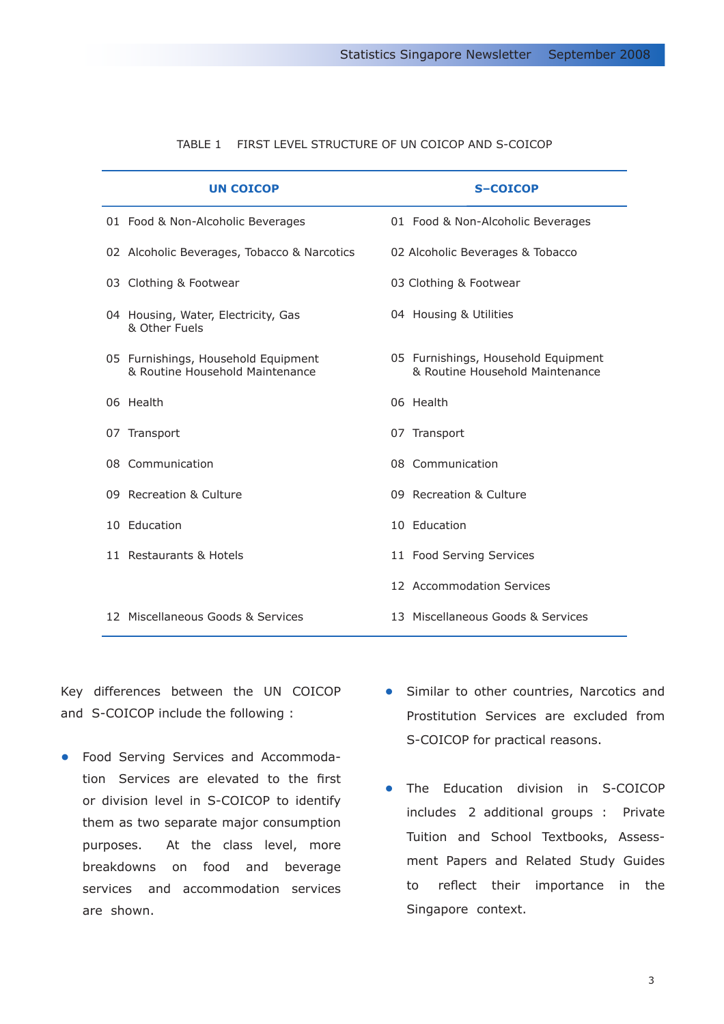| <b>UN COICOP</b>                                                       | <b>S-COICOP</b>                                                        |
|------------------------------------------------------------------------|------------------------------------------------------------------------|
| 01 Food & Non-Alcoholic Beverages                                      | 01 Food & Non-Alcoholic Beverages                                      |
| 02 Alcoholic Beverages, Tobacco & Narcotics                            | 02 Alcoholic Beverages & Tobacco                                       |
| 03 Clothing & Footwear                                                 | 03 Clothing & Footwear                                                 |
| 04 Housing, Water, Electricity, Gas<br>& Other Fuels                   | 04 Housing & Utilities                                                 |
| 05 Furnishings, Household Equipment<br>& Routine Household Maintenance | 05 Furnishings, Household Equipment<br>& Routine Household Maintenance |
| 06 Health                                                              | 06 Health                                                              |
| 07 Transport                                                           | 07 Transport                                                           |
| 08 Communication                                                       | 08 Communication                                                       |
| 09 Recreation & Culture                                                | 09 Recreation & Culture                                                |
| 10 Education                                                           | 10 Education                                                           |
| 11 Restaurants & Hotels                                                | 11 Food Serving Services                                               |
|                                                                        | 12 Accommodation Services                                              |
| 12 Miscellaneous Goods & Services                                      | 13 Miscellaneous Goods & Services                                      |

## TABLE 1 FIRST LEVEL STRUCTURE OF UN COICOP AND S-COICOP

Key differences between the UN COICOP and S-COICOP include the following :

- Food Serving Services and Accommoda-**•** tion Services are elevated to the first or division level in S-COICOP to identify them as two separate major consumption purposes. At the class level, more breakdowns on food and beverage services and accommodation services are shown.
- Similar to other countries, Narcotics and **•** Prostitution Services are excluded from S-COICOP for practical reasons.
- The Education division in S-COICOP includes 2 additional groups : Private Tuition and School Textbooks, Assessment Papers and Related Study Guides to reflect their importance in the Singapore context. **•**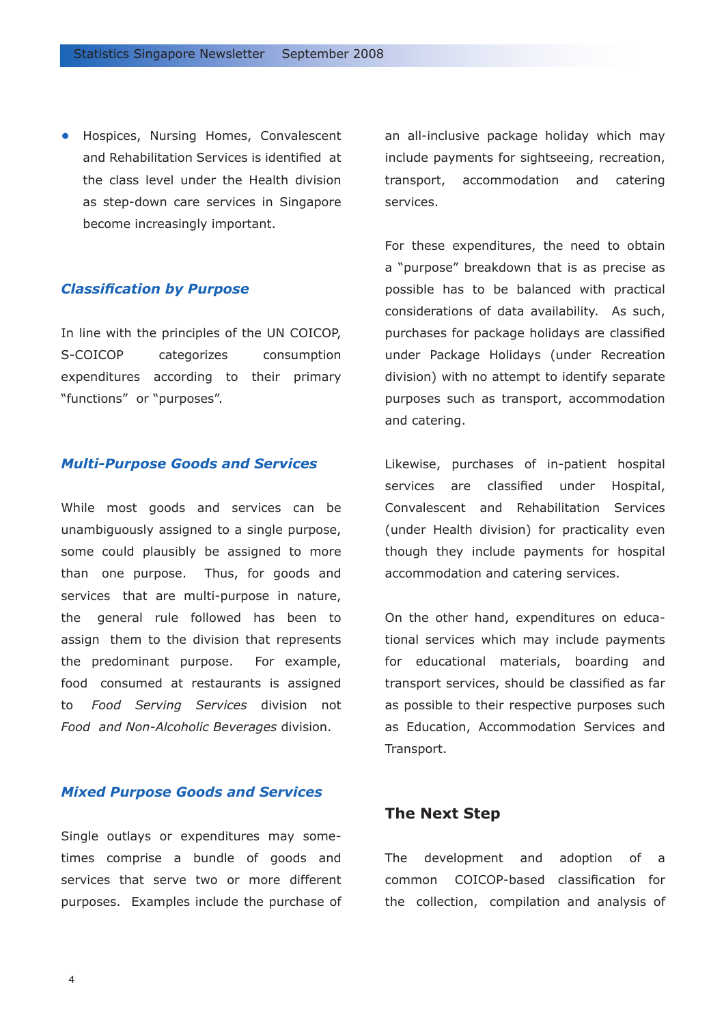• Hospices, Nursing Homes, Convalescent an all-inclusive package holiday which may and Rehabilitation Services is identified at the class level under the Health division as step-down care services in Singapore become increasingly important.

# *Classification by Purpose*

In line with the principles of the UN COICOP, S-COICOP categorizes consumption expenditures according to their primary "functions" or "purposes".

## *Multi-Purpose Goods and Services*

While most goods and services can be unambiguously assigned to a single purpose, some could plausibly be assigned to more than one purpose. Thus, for goods and services that are multi-purpose in nature, the general rule followed has been to assign them to the division that represents the predominant purpose. For example, food consumed at restaurants is assigned to *Food Serving Services* division not *Food and Non-Alcoholic Beverages* division.

## *Mixed Purpose Goods and Services*

Single outlays or expenditures may sometimes comprise a bundle of goods and services that serve two or more different purposes. Examples include the purchase of include payments for sightseeing, recreation, transport, accommodation and catering services.

For these expenditures, the need to obtain a "purpose" breakdown that is as precise as possible has to be balanced with practical considerations of data availability. As such, purchases for package holidays are classified under Package Holidays (under Recreation division) with no attempt to identify separate purposes such as transport, accommodation and catering.

Likewise, purchases of in-patient hospital services are classified under Hospital, Convalescent and Rehabilitation Services (under Health division) for practicality even though they include payments for hospital accommodation and catering services.

On the other hand, expenditures on educational services which may include payments for educational materials, boarding and transport services, should be classified as far as possible to their respective purposes such as Education, Accommodation Services and Transport.

# **The Next Step**

The development and adoption of a common COICOP-based classification for the collection, compilation and analysis of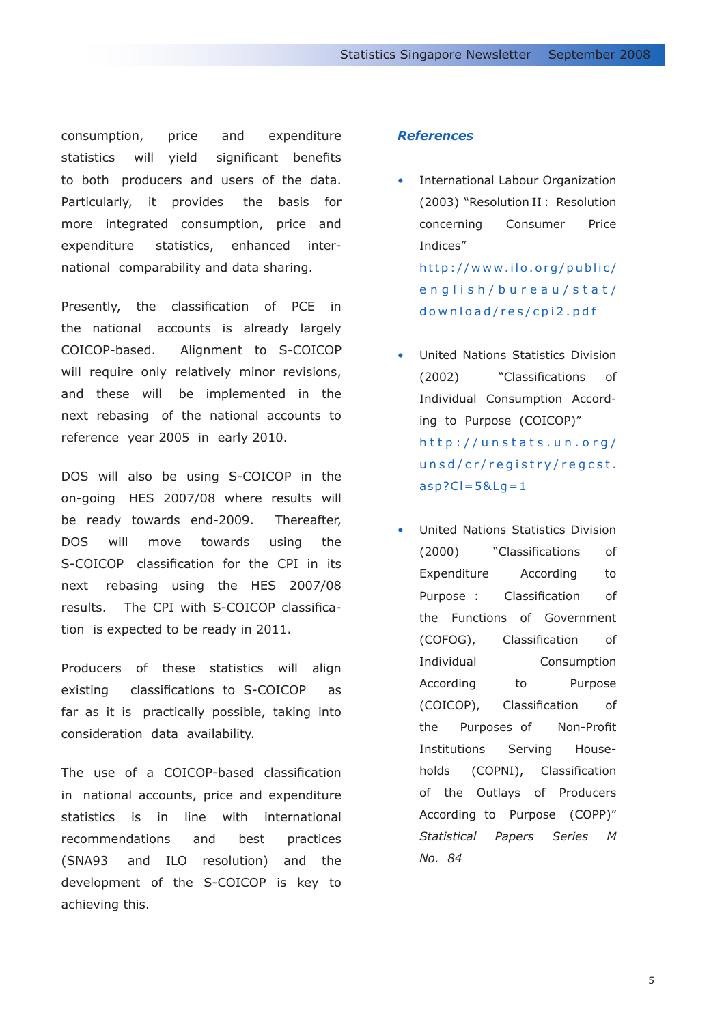consumption, price and expenditure statistics will yield significant benefits to both producers and users of the data. Particularly, it provides the basis for more integrated consumption, price and expenditure statistics, enhanced international comparability and data sharing.

Presently, the classification of PCE in the national accounts is already largely COICOP-based. Alignment to S-COICOP will require only relatively minor revisions, and these will be implemented in the next rebasing of the national accounts to reference year 2005 in early 2010.

DOS will also be using S-COICOP in the on-going HES 2007/08 where results will be ready towards end-2009. Thereafter, DOS will move towards using the S-COICOP classification for the CPI in its next rebasing using the HES 2007/08 results. The CPI with S-COICOP classification is expected to be ready in 2011.

Producers of these statistics will align existing classifications to S-COICOP as far as it is practically possible, taking into consideration data availability.

The use of a COICOP-based classification in national accounts, price and expenditure statistics is in line with international recommendations and best practices (SNA93 and ILO resolution) and the development of the S-COICOP is key to achieving this.

### *References*

- International Labour Organization (2003) "Resolution II : Resolution concerning Consumer Price Indices" http://www.ilo.org/public/ english/bureau/stat/ download/res/cpi2.pdf
- United Nations Statistics Division (2002) "Classifications of Individual Consumption According to Purpose (COICOP)" http://unstats.un.org/ unsd/cr/registry/regcst.  $asp?CI = 5&Lg = 1$ •
- United Nations Statistics Division (2000) "Classifications of Expenditure According to Purpose : Classification of the Functions of Government (COFOG), Classification of Individual Consumption According to Purpose (COICOP), Classification of the Purposes of Non-Profit Institutions Serving Households (COPNI), Classification of the Outlays of Producers According to Purpose (COPP)" *Statistical Papers Series M No. 84* •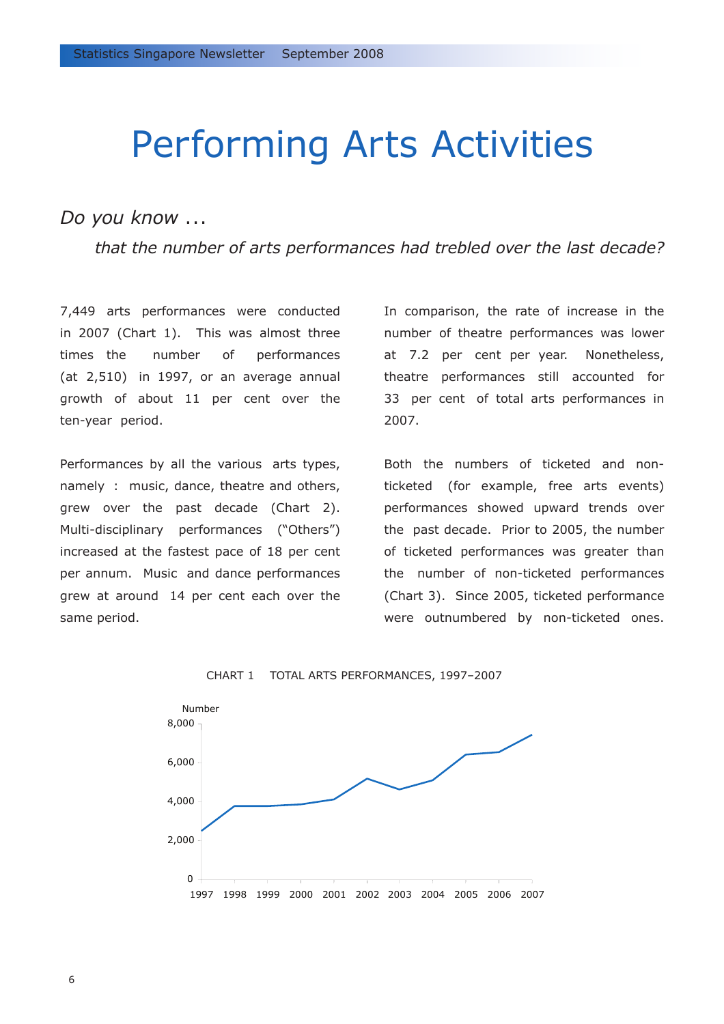# Performing Arts Activities

# *Do you know* ...

*that the number of arts performances had trebled over the last decade?*

7,449 arts performances were conducted in 2007 (Chart 1). This was almost three times the number of performances (at 2,510) in 1997, or an average annual growth of about 11 per cent over the ten-year period.

Performances by all the various arts types, namely : music, dance, theatre and others, grew over the past decade (Chart 2). Multi-disciplinary performances ("Others") increased at the fastest pace of 18 per cent per annum. Music and dance performances grew at around 14 per cent each over the same period.

In comparison, the rate of increase in the number of theatre performances was lower at 7.2 per cent per year. Nonetheless, theatre performances still accounted for 33 per cent of total arts performances in 2007.

Both the numbers of ticketed and nonticketed (for example, free arts events) performances showed upward trends over the past decade. Prior to 2005, the number of ticketed performances was greater than the number of non-ticketed performances (Chart 3). Since 2005, ticketed performance were outnumbered by non-ticketed ones.



CHART 1 TOTAL ARTS PERFORMANCES, 1997–2007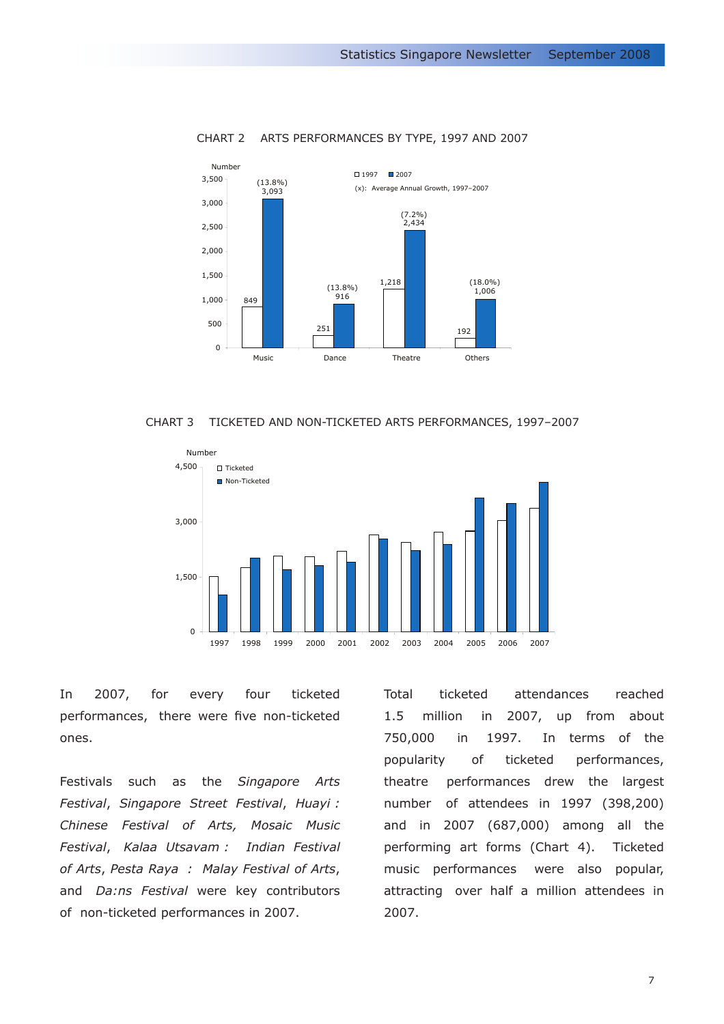

#### CHART 2 ARTS PERFORMANCES BY TYPE, 1997 AND 2007





In 2007, for every four ticketed performances, there were five non-ticketed ones.

Festivals such as the *Singapore Arts Festival*, *Singapore Street Festival*, *Huayi : Chinese Festival of Arts, Mosaic Music Festival*, *Kalaa Utsavam : Indian Festival of Arts*, *Pesta Raya : Malay Festival of Arts*, and *Da:ns Festival* were key contributors of non-ticketed performances in 2007.

Total ticketed attendances reached 1.5 million in 2007, up from about 750,000 in 1997. In terms of the popularity of ticketed performances, theatre performances drew the largest number of attendees in 1997 (398,200) and in 2007 (687,000) among all the performing art forms (Chart 4). Ticketed music performances were also popular, attracting over half a million attendees in 2007.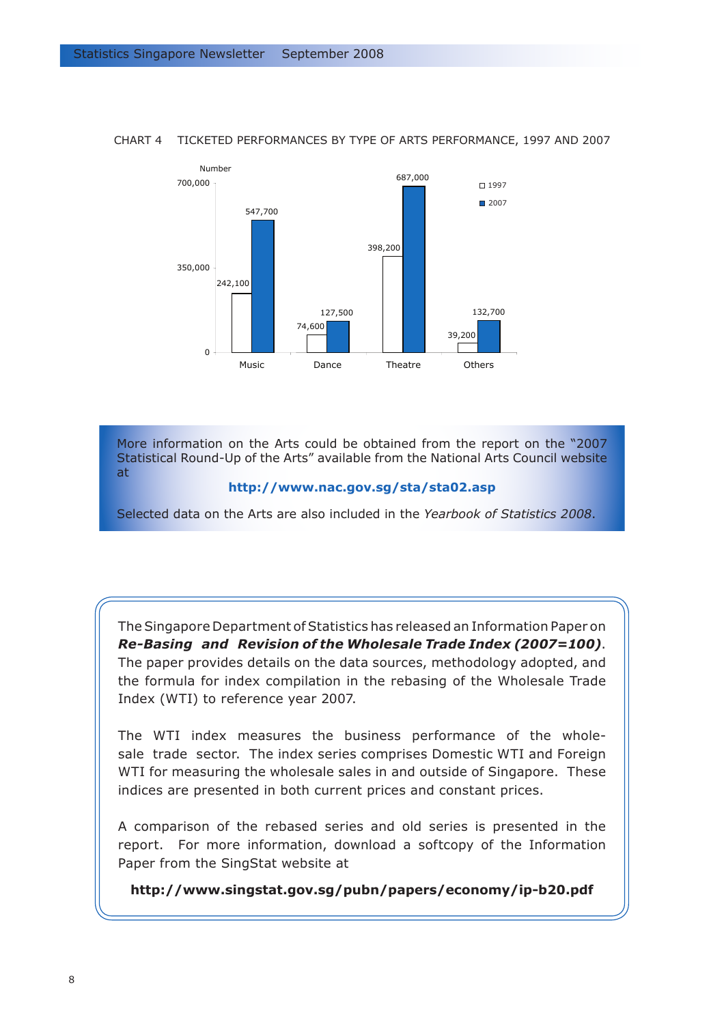

### CHART 4 TICKETED PERFORMANCES BY TYPE OF ARTS PERFORMANCE, 1997 AND 2007

More information on the Arts could be obtained from the report on the "2007 Statistical Round-Up of the Arts" available from the National Arts Council website at

#### **http://www.nac.gov.sg/sta/sta02.asp**

Selected data on the Arts are also included in the *Yearbook of Statistics 2008*.

The Singapore Department of Statistics has released an Information Paper on *Re-Basing and Revision of the Wholesale Trade Index (2007=100)*. The paper provides details on the data sources, methodology adopted, and the formula for index compilation in the rebasing of the Wholesale Trade Index (WTI) to reference year 2007.

The WTI index measures the business performance of the wholesale trade sector. The index series comprises Domestic WTI and Foreign WTI for measuring the wholesale sales in and outside of Singapore. These indices are presented in both current prices and constant prices.

A comparison of the rebased series and old series is presented in the report. For more information, download a softcopy of the Information Paper from the SingStat website at

**http://www.singstat.gov.sg/pubn/papers/economy/ip-b20.pdf**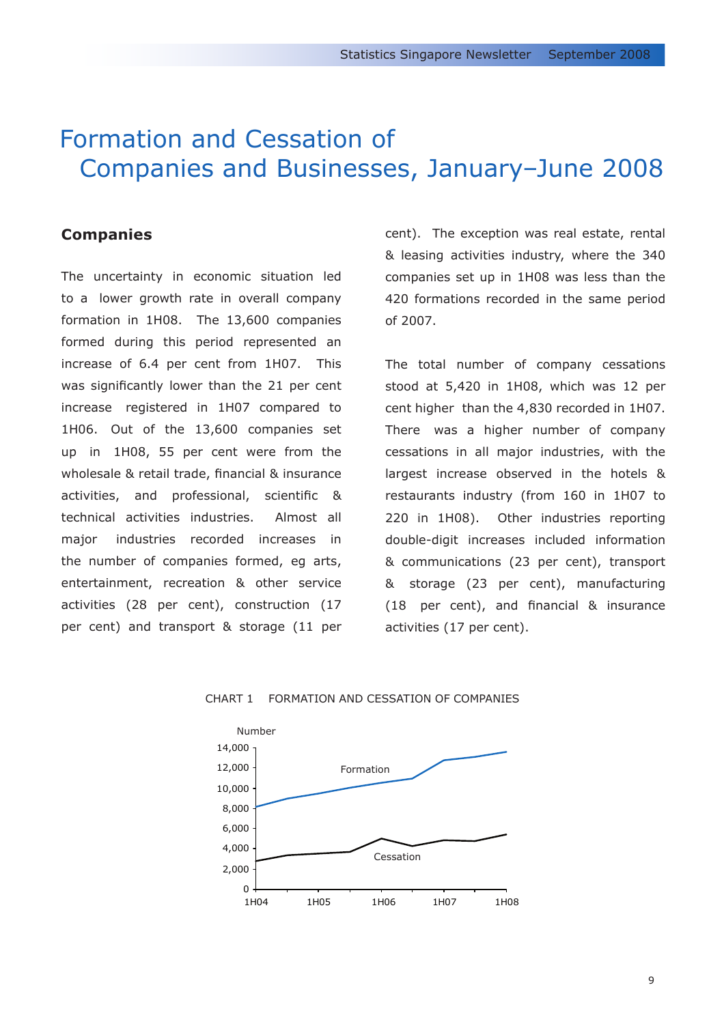# Formation and Cessation of Companies and Businesses, January–June 2008

# **Companies**

The uncertainty in economic situation led to a lower growth rate in overall company formation in 1H08. The 13,600 companies formed during this period represented an increase of 6.4 per cent from 1H07. This was significantly lower than the 21 per cent increase registered in 1H07 compared to 1H06. Out of the 13,600 companies set up in 1H08, 55 per cent were from the wholesale & retail trade, financial & insurance activities, and professional, scientific & technical activities industries. Almost all major industries recorded increases in the number of companies formed, eg arts, entertainment, recreation & other service activities (28 per cent), construction (17 per cent) and transport & storage (11 per cent). The exception was real estate, rental & leasing activities industry, where the 340 companies set up in 1H08 was less than the 420 formations recorded in the same period of 2007.

The total number of company cessations stood at 5,420 in 1H08, which was 12 per cent higher than the 4,830 recorded in 1H07. There was a higher number of company cessations in all major industries, with the largest increase observed in the hotels & restaurants industry (from 160 in 1H07 to 220 in 1H08). Other industries reporting double-digit increases included information & communications (23 per cent), transport & storage (23 per cent), manufacturing (18 per cent), and financial & insurance activities (17 per cent).

#### CHART 1 FORMATION AND CESSATION OF COMPANIES

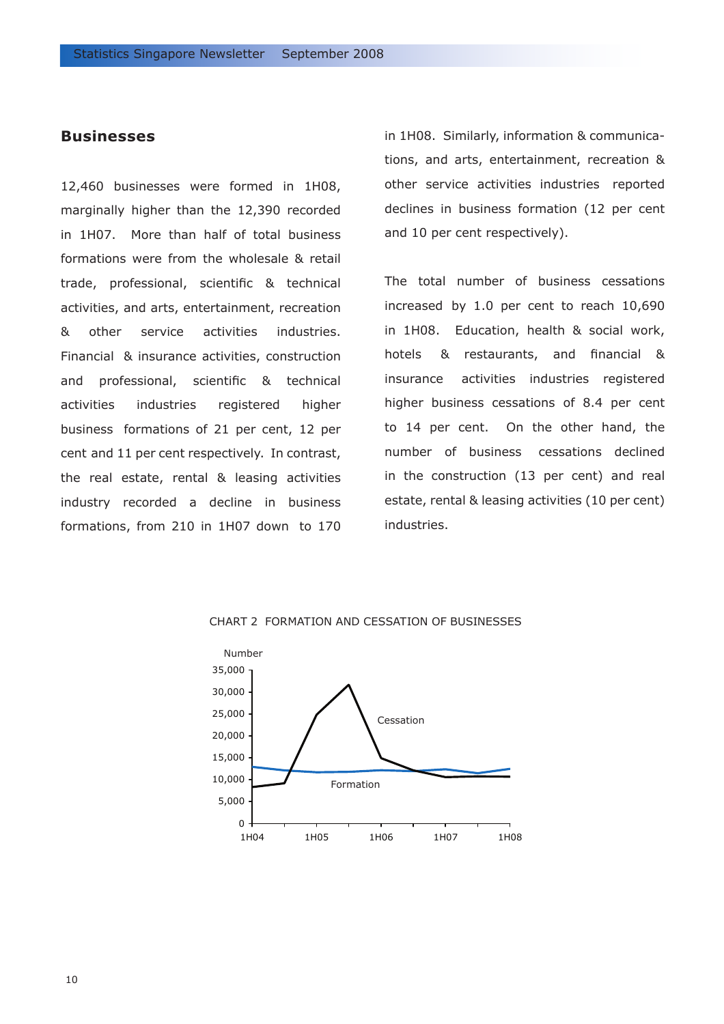# **Businesses**

12,460 businesses were formed in 1H08, marginally higher than the 12,390 recorded in 1H07. More than half of total business formations were from the wholesale & retail trade, professional, scientific & technical activities, and arts, entertainment, recreation & other service activities industries. Financial & insurance activities, construction and professional, scientific & technical activities industries registered higher business formations of 21 per cent, 12 per cent and 11 per cent respectively. In contrast, the real estate, rental & leasing activities industry recorded a decline in business formations, from 210 in 1H07 down to 170 in 1H08. Similarly, information & communications, and arts, entertainment, recreation & other service activities industries reported declines in business formation (12 per cent and 10 per cent respectively).

The total number of business cessations increased by 1.0 per cent to reach 10,690 in 1H08. Education, health & social work, hotels & restaurants, and financial & insurance activities industries registered higher business cessations of 8.4 per cent to 14 per cent. On the other hand, the number of business cessations declined in the construction (13 per cent) and real estate, rental & leasing activities (10 per cent) industries.



#### CHART 2 FORMATION AND CESSATION OF BUSINESSES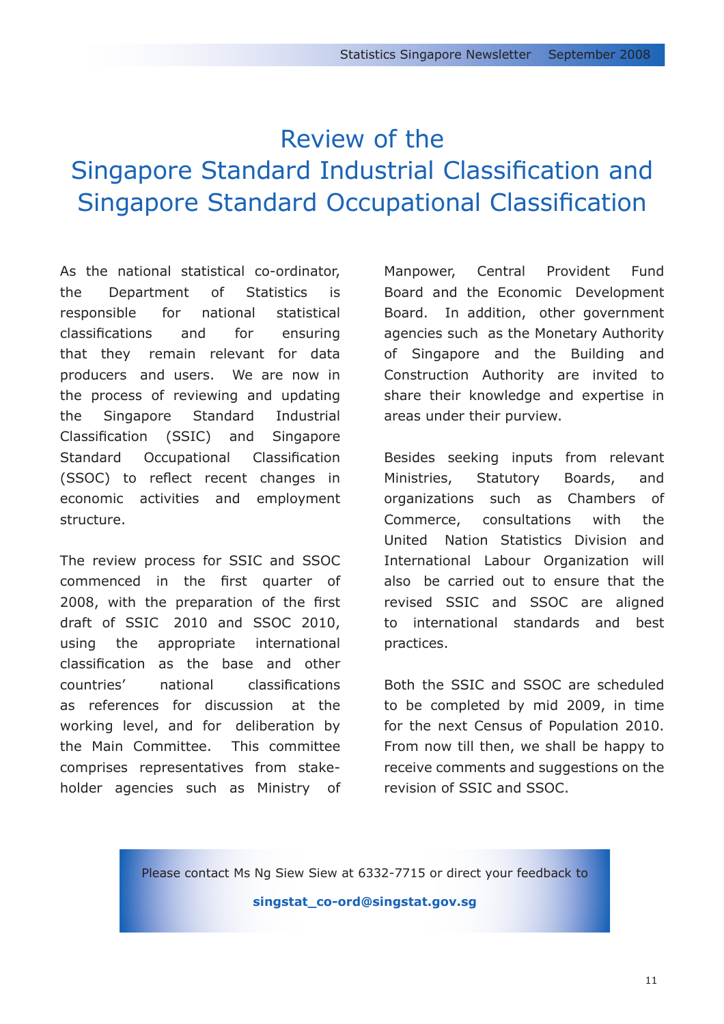# Review of the Singapore Standard Industrial Classification and Singapore Standard Occupational Classification

As the national statistical co-ordinator, the Department of Statistics is responsible for national statistical classifications and for ensuring that they remain relevant for data producers and users. We are now in the process of reviewing and updating the Singapore Standard Industrial Classification (SSIC) and Singapore Standard Occupational Classification (SSOC) to reflect recent changes in economic activities and employment structure.

The review process for SSIC and SSOC commenced in the first quarter of 2008, with the preparation of the first draft of SSIC 2010 and SSOC 2010, using the appropriate international classification as the base and other countries' national classifications as references for discussion at the working level, and for deliberation by the Main Committee. This committee comprises representatives from stakeholder agencies such as Ministry of Manpower, Central Provident Fund Board and the Economic Development Board. In addition, other government agencies such as the Monetary Authority of Singapore and the Building and Construction Authority are invited to share their knowledge and expertise in areas under their purview.

Besides seeking inputs from relevant Ministries, Statutory Boards, and organizations such as Chambers of Commerce, consultations with the United Nation Statistics Division and International Labour Organization will also be carried out to ensure that the revised SSIC and SSOC are aligned to international standards and best practices.

Both the SSIC and SSOC are scheduled to be completed by mid 2009, in time for the next Census of Population 2010. From now till then, we shall be happy to receive comments and suggestions on the revision of SSIC and SSOC.

Please contact Ms Ng Siew Siew at 6332-7715 or direct your feedback to

**[singstat\\_co-ord@singstat.gov.sg](mailto:singstat_co-ord@singstat.gov.sg)**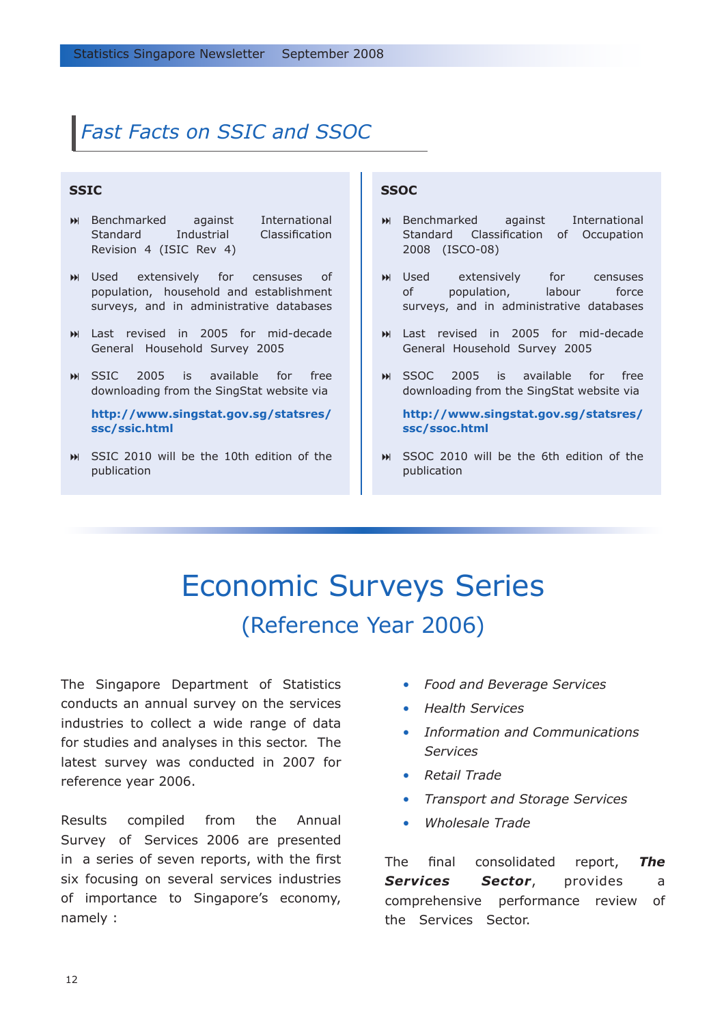# *Fast Facts on SSIC and SSOC*

# **SSIC**

- Benchmarked against International Standard Industrial Classification Revision 4 (ISIC Rev 4)
- extensively for censuses of population, household and establishment surveys, and in administrative databases **M** Used
- Last revised in 2005 for mid-decade General Household Survey 2005
- SSIC 2005 is available for free downloading from the SingStat website via

**[http://www.singstat.gov.sg/statsres/](http://www.singstat.gov.sg/statsres/ssc/ssic.html) ssc/ssic.html**

SSIC 2010 will be the 10th edition of the publication

## **SSOC**

- Benchmarked against International Standard Classification of Occupation 2008 (ISCO-08)
- extensively for censuses of population, labour force surveys, and in administrative databases **M** Used
- Last revised in 2005 for mid-decade General Household Survey 2005
- SSOC 2005 is available for free downloading from the SingStat website via

**[http://www.singstat.gov.sg/statsres/](http://www.singstat.gov.sg/statsres/ssc/ssoc.html) ssc/ssoc.html**

SSOC 2010 will be the 6th edition of the publication

# Economic Surveys Series (Reference Year 2006)

The Singapore Department of Statistics conducts an annual survey on the services industries to collect a wide range of data for studies and analyses in this sector. The latest survey was conducted in 2007 for reference year 2006.

Results compiled from the Annual Survey of Services 2006 are presented in a series of seven reports, with the first six focusing on several services industries of importance to Singapore's economy, namely :

- *Food and Beverage Services •*
- *Health Services •*
- *Information and Communications Services •*
- *Retail Trade •*
- *Transport and Storage Services •*
- *Wholesale Trade •*

The final consolidated report, *The*  **Services Sector**, provides a comprehensive performance review of the Services Sector.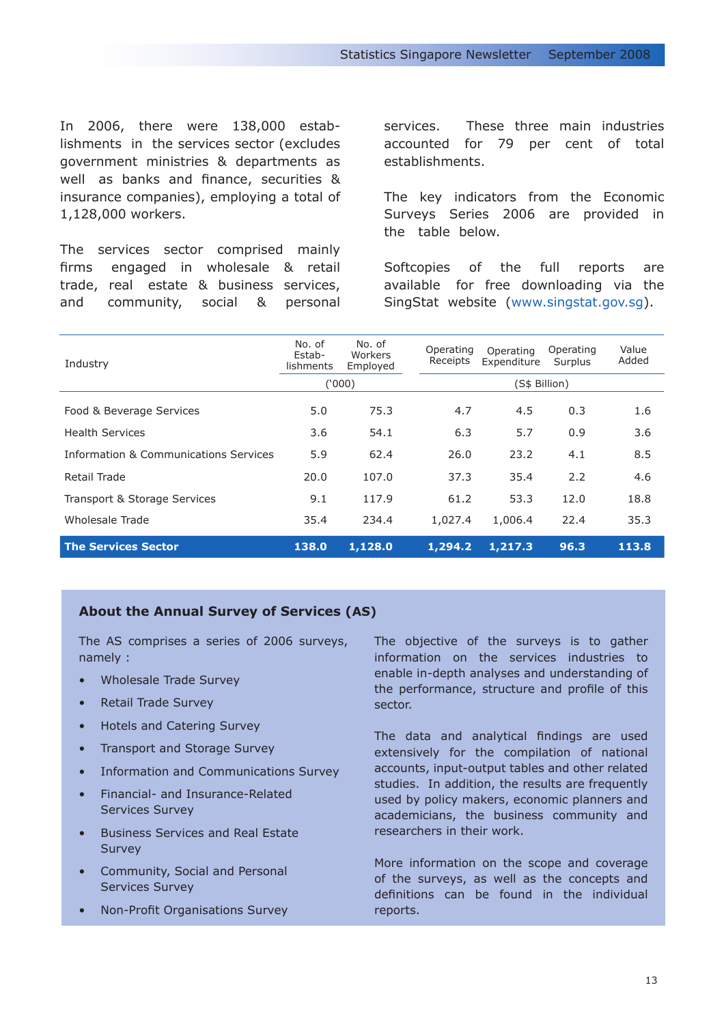In 2006, there were 138,000 establishments in the services sector (excludes government ministries & departments as well as banks and finance, securities & insurance companies), employing a total of 1,128,000 workers.

The services sector comprised mainly firms engaged in wholesale & retail trade, real estate & business services, and community, social & personal services. These three main industries accounted for 79 per cent of total establishments.

The key indicators from the Economic Surveys Series 2006 are provided in the table below.

Softcopies of the full reports are available for free downloading via the SingStat website (www.singstat.gov.sg).

| Industry                              | No. of<br>Estab-<br>lishments | No. of<br>Workers<br>Employed | Operating<br>Receipts | Operating<br>Expenditure | Operating<br>Surplus | Value<br>Added |  |
|---------------------------------------|-------------------------------|-------------------------------|-----------------------|--------------------------|----------------------|----------------|--|
|                                       | (000)                         |                               | (S\$ Billion)         |                          |                      |                |  |
| Food & Beverage Services              | 5.0                           | 75.3                          | 4.7                   | 4.5                      | 0.3                  | 1.6            |  |
| <b>Health Services</b>                | 3.6                           | 54.1                          | 6.3                   | 5.7                      | 0.9                  | 3.6            |  |
| Information & Communications Services | 5.9                           | 62.4                          | 26.0                  | 23.2                     | 4.1                  | 8.5            |  |
| Retail Trade                          | 20.0                          | 107.0                         | 37.3                  | 35.4                     | 2.2                  | 4.6            |  |
| Transport & Storage Services          | 9.1                           | 117.9                         | 61.2                  | 53.3                     | 12.0                 | 18.8           |  |
| Wholesale Trade                       | 35.4                          | 234.4                         | 1,027.4               | 1,006.4                  | 22.4                 | 35.3           |  |
| <b>The Services Sector</b>            | 138.0                         | 1,128.0                       | 1,294.2               | 1,217.3                  | 96.3                 | 113.8          |  |

# **About the Annual Survey of Services (AS)**

The AS comprises a series of 2006 surveys, namely :

- Wholesale Trade Survey •
- Retail Trade Survey •
- Hotels and Catering Survey •
- Transport and Storage Survey •
- Information and Communications Survey •
- Financial- and Insurance-Related Services Survey
- Business Services and Real Estate **Survey**
- Community, Social and Personal Services Survey
- Non-Profit Organisations Survey

The objective of the surveys is to gather information on the services industries to enable in-depth analyses and understanding of the performance, structure and profile of this sector.

The data and analytical findings are used extensively for the compilation of national accounts, input-output tables and other related studies. In addition, the results are frequently used by policy makers, economic planners and academicians, the business community and researchers in their work.

More information on the scope and coverage of the surveys, as well as the concepts and definitions can be found in the individual reports.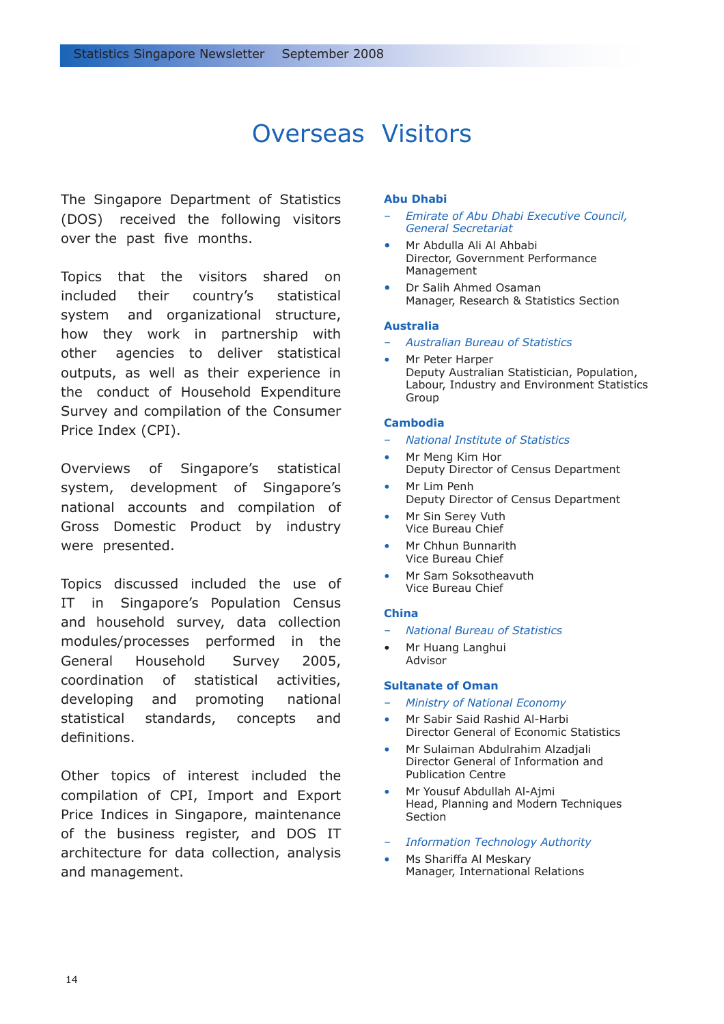# Overseas Visitors

The Singapore Department of Statistics (DOS) received the following visitors over the past five months.

Topics that the visitors shared on included their country's statistical system and organizational structure, how they work in partnership with other agencies to deliver statistical outputs, as well as their experience in the conduct of Household Expenditure Survey and compilation of the Consumer Price Index (CPI).

Overviews of Singapore's statistical system, development of Singapore's national accounts and compilation of Gross Domestic Product by industry were presented.

Topics discussed included the use of IT in Singapore's Population Census and household survey, data collection modules/processes performed in the General Household Survey 2005, coordination of statistical activities, developing and promoting national statistical standards, concepts and definitions.

Other topics of interest included the compilation of CPI, Import and Export Price Indices in Singapore, maintenance of the business register, and DOS IT architecture for data collection, analysis and management.

## **Abu Dhabi**

- *Emirate of Abu Dhabi Executive Council, General Secretariat*
- Mr Abdulla Ali Al Ahbabi Director, Government Performance Management •
- Dr Salih Ahmed Osaman Manager, Research & Statistics Section •

#### **Australia**

- *Australian Bureau of Statistics*
- Mr Peter Harper Deputy Australian Statistician, Population, Labour, Industry and Environment Statistics Group •

### **Cambodia**

- *National Institute of Statistics*
- Mr Meng Kim Hor Deputy Director of Census Department •
- Mr Lim Penh Deputy Director of Census Department •
- Mr Sin Serey Vuth Vice Bureau Chief •
- Mr Chhun Bunnarith Vice Bureau Chief •
- Mr Sam Soksotheavuth Vice Bureau Chief •

### **China**

- *National Bureau of Statistics*
- Mr Huang Langhui Advisor

#### **Sultanate of Oman**

- *Ministry of National Economy*
- Mr Sabir Said Rashid Al-Harbi Director General of Economic Statistics •
- Mr Sulaiman Abdulrahim Alzadjali Director General of Information and Publication Centre •
- Mr Yousuf Abdullah Al-Ajmi Head, Planning and Modern Techniques Section •
- *Information Technology Authority*
- Ms Shariffa Al Meskary Manager, International Relations •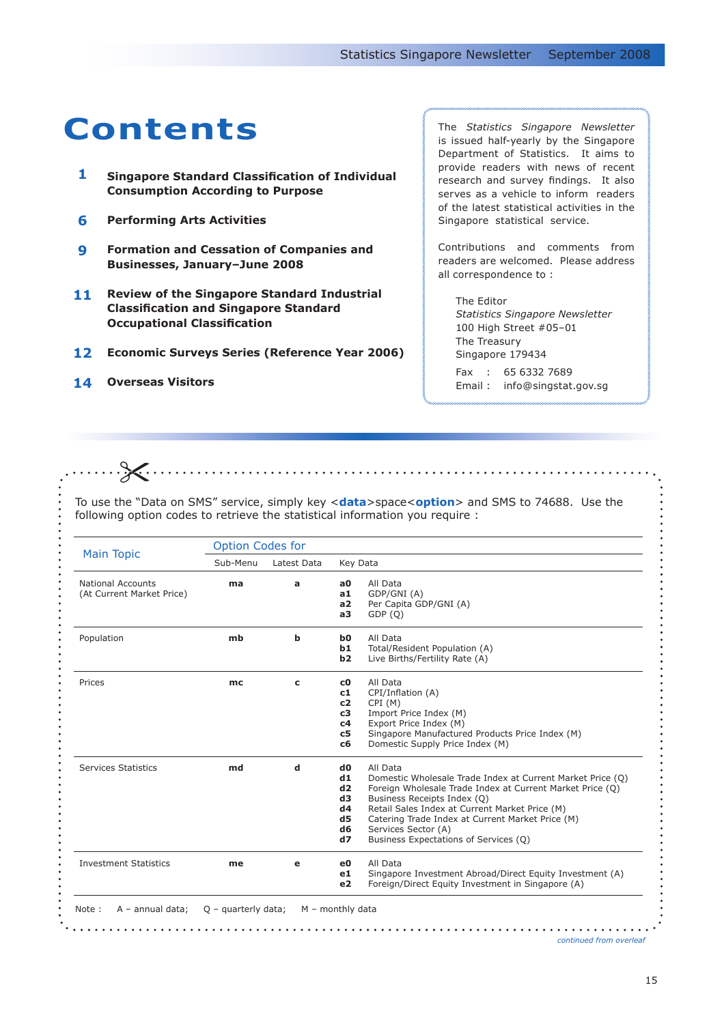# **Contents** The *Statistics Singapore Newsletter*

- **Singapore Standard Classification of Individual Consumption According to Purpose 1**
- **Performing Arts Activities 6**
- **Formation and Cessation of Companies and Businesses, January–June 2008 9**
- **Review of the Singapore Standard Industrial Classification and Singapore Standard Occupational Classification 11**
- **Economic Surveys Series (Reference Year 2006) 12**
- **Overseas Visitors 14**

 $\cdots \cdots \cdots$ 

is issued half-yearly by the Singapore Department of Statistics. It aims to provide readers with news of recent research and survey findings. It also serves as a vehicle to inform readers of the latest statistical activities in the Singapore statistical service.

Contributions and comments from readers are welcomed. Please address all correspondence to :

The Editor *Statistics Singapore Newsletter* 100 High Street #05–01 The Treasury Singapore 179434

Fax : 65 6332 7689 Email : info@singstat.gov.sg

To use the "Data on SMS" service, simply key <**data**>space<**option**> and SMS to 74688. Use the following option codes to retrieve the statistical information you require :

|                                                       | <b>Option Codes for</b> |             |                                                                                                                                                                                                                                                                                                                                                                                                                  |  |  |  |
|-------------------------------------------------------|-------------------------|-------------|------------------------------------------------------------------------------------------------------------------------------------------------------------------------------------------------------------------------------------------------------------------------------------------------------------------------------------------------------------------------------------------------------------------|--|--|--|
| <b>Main Topic</b>                                     | Sub-Menu                | Latest Data | Key Data                                                                                                                                                                                                                                                                                                                                                                                                         |  |  |  |
| <b>National Accounts</b><br>(At Current Market Price) | ma                      | a           | All Data<br>a0<br>GDP/GNI (A)<br>a1<br>a2<br>Per Capita GDP/GNI (A)<br>GDP(Q)<br>a3                                                                                                                                                                                                                                                                                                                              |  |  |  |
| Population                                            | mb                      | b           | All Data<br>b <sub>0</sub><br>b1<br>Total/Resident Population (A)<br>b2<br>Live Births/Fertility Rate (A)                                                                                                                                                                                                                                                                                                        |  |  |  |
| Prices                                                | mc                      | c           | All Data<br>c0<br>CPI/Inflation (A)<br>c1<br>CPI(M)<br>c2<br>Import Price Index (M)<br>c3<br>Export Price Index (M)<br>c4<br>Singapore Manufactured Products Price Index (M)<br>c5<br>Domestic Supply Price Index (M)<br>c6                                                                                                                                                                                      |  |  |  |
| <b>Services Statistics</b>                            | md                      | d           | All Data<br>d <sub>0</sub><br>d1<br>Domestic Wholesale Trade Index at Current Market Price (Q)<br>d2<br>Foreign Wholesale Trade Index at Current Market Price (Q)<br>d3<br>Business Receipts Index (Q)<br>d4<br>Retail Sales Index at Current Market Price (M)<br>d5<br>Catering Trade Index at Current Market Price (M)<br>d <sub>6</sub><br>Services Sector (A)<br>Business Expectations of Services (Q)<br>d7 |  |  |  |
| <b>Investment Statistics</b>                          | me                      | e           | All Data<br>e0<br>Singapore Investment Abroad/Direct Equity Investment (A)<br>e1<br>Foreign/Direct Equity Investment in Singapore (A)<br>e <sub>2</sub>                                                                                                                                                                                                                                                          |  |  |  |

*continued from overleaf*